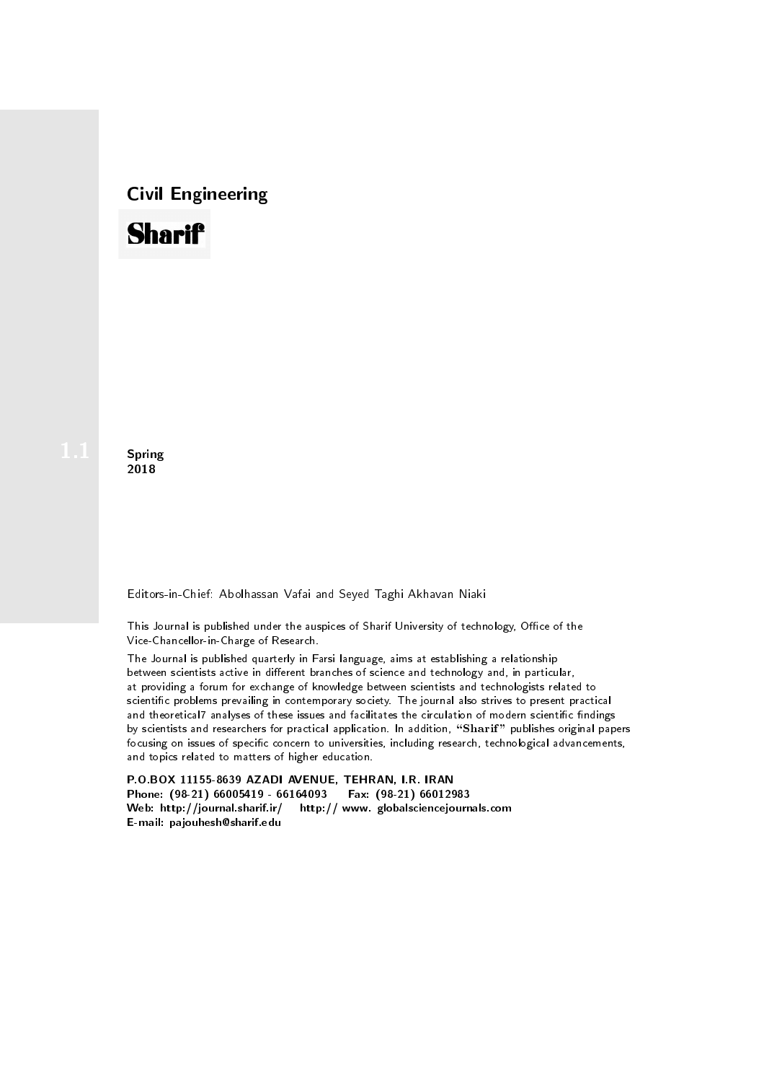## Civil Engineering



**Spring** 2018

Editors-in-Chief: Abolhassan Vafai and Seyed Taghi Akhavan Niaki

This Journal is published under the auspices of Sharif University of technology, Office of the Vice-Chancellor-in-Charge of Research.

The Journal is published quarterly in Farsi language, aims at establishing a relationship between scientists active in different branches of science and technology and, in particular, at providing a forum for exchange of knowledge between scientists and technologists related to scientic problems prevailing in contemporary society. The journal also strives to present practical and theoretical7 analyses of these issues and facilitates the circulation of modern scientific findings by scientists and researchers for practical application. In addition, "Sharif" publishes original papers focusing on issues of specific concern to universities, including research, technological advancements, and topics related to matters of higher education.

P.O.BOX 11155-8639 AZADI AVENUE, TEHRAN, I.R. IRAN Phone: (98-21) 66005419 - 66164093 Fax: (98-21) 66012983 Web: http://journal.sharif.ir/ http:// www. globalsciencejournals.com E-mail: pajouhesh@sharif.edu